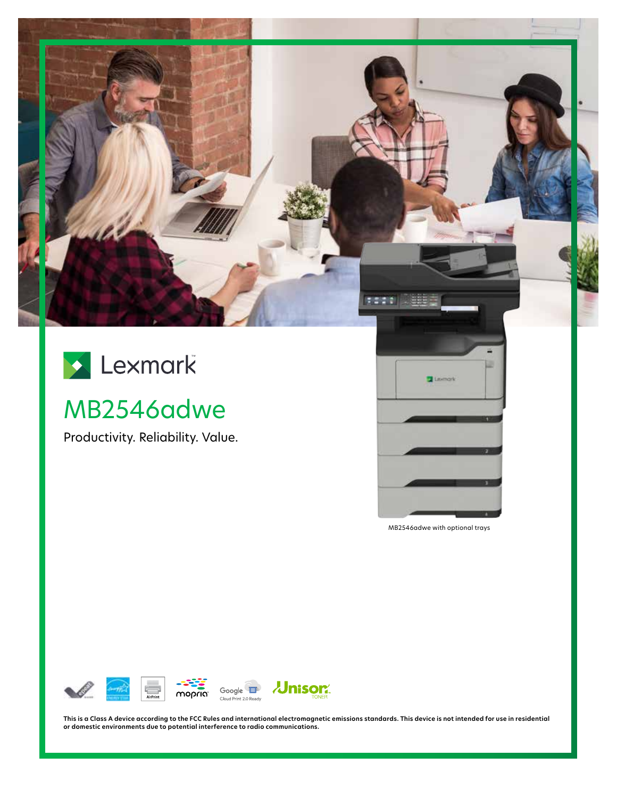

# MB2546adwe

Productivity. Reliability. Value.



MB2546adwe with optional trays



**This is a Class A device according to the FCC Rules and international electromagnetic emissions standards. This device is not intended for use in residential or domestic environments due to potential interference to radio communications.**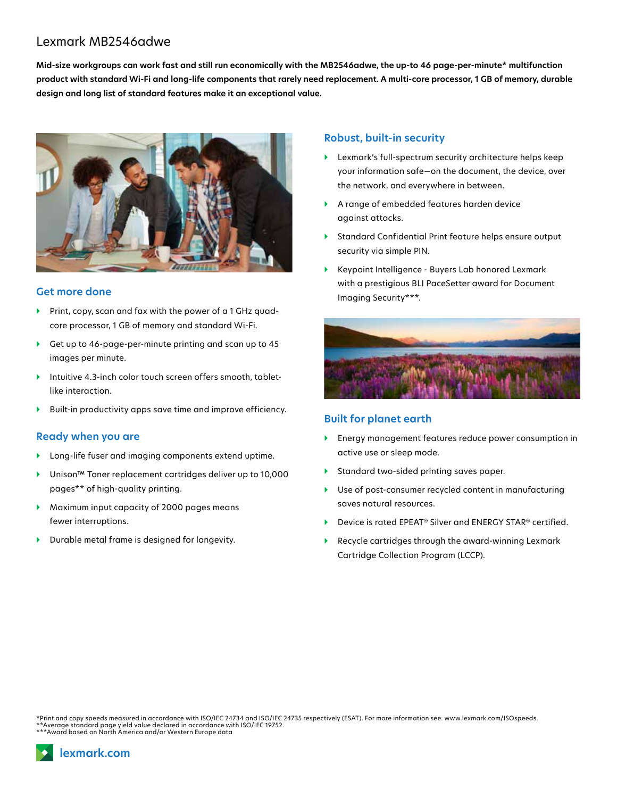## Lexmark MB2546adwe

**Mid-size workgroups can work fast and still run economically with the MB2546adwe, the up-to 46 page-per-minute\* multifunction product with standard Wi-Fi and long-life components that rarely need replacement. A multi-core processor, 1 GB of memory, durable design and long list of standard features make it an exceptional value.**



#### **Get more done**

- Print, copy, scan and fax with the power of a 1 GHz quadcore processor, 1 GB of memory and standard Wi-Fi.
- } Get up to 46-page-per-minute printing and scan up to 45 images per minute.
- } Intuitive 4.3-inch color touch screen offers smooth, tabletlike interaction.
- } Built-in productivity apps save time and improve efficiency.

#### **Ready when you are**

- } Long-life fuser and imaging components extend uptime.
- } Unison™ Toner replacement cartridges deliver up to 10,000 pages\*\* of high-quality printing.
- } Maximum input capacity of 2000 pages means fewer interruptions.
- } Durable metal frame is designed for longevity.

#### **Robust, built-in security**

- } Lexmark's full-spectrum security architecture helps keep your information safe—on the document, the device, over the network, and everywhere in between.
- } A range of embedded features harden device against attacks.
- } Standard Confidential Print feature helps ensure output security via simple PIN.
- } Keypoint Intelligence Buyers Lab honored Lexmark with a prestigious BLI PaceSetter award for Document Imaging Security\*\*\*.



### **Built for planet earth**

- } Energy management features reduce power consumption in active use or sleep mode.
- } Standard two-sided printing saves paper.
- } Use of post-consumer recycled content in manufacturing saves natural resources.
- ▶ Device is rated EPEAT<sup>®</sup> Silver and ENERGY STAR<sup>®</sup> certified.
- } Recycle cartridges through the award-winning Lexmark Cartridge Collection Program (LCCP).

\*Print and copy speeds measured in accordance with ISO/IEC 24734 and ISO/IEC 24735 respectively (ESAT). For more information see: www.lexmark.com/ISOspeeds. \*\*Average standard page yield value declared in accordance with ISO/IEC 19752. \*\*\*Award based on North America and/or Western Europe data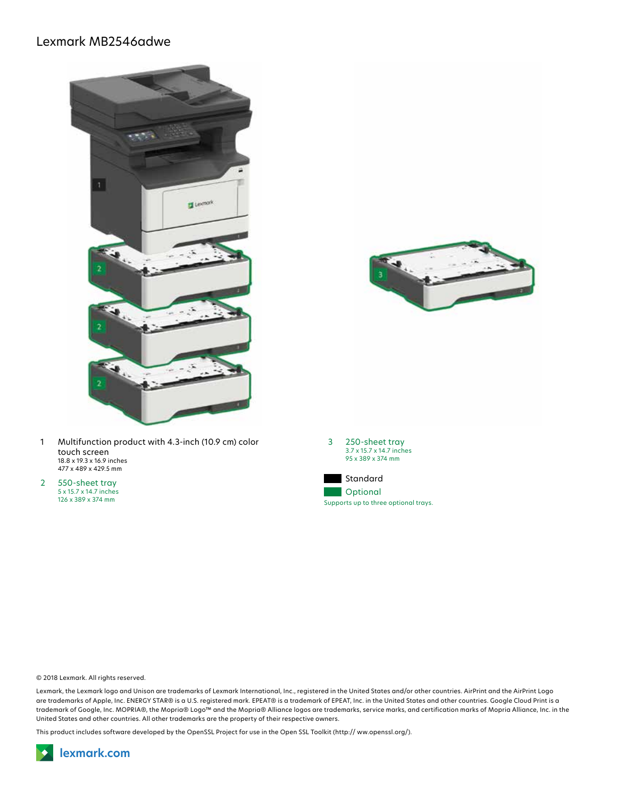## Lexmark MB2546adwe





2 550-sheet tray 5 x 15.7 x 14.7 inches 126 x 389 x 374 mm



© 2018 Lexmark. All rights reserved.

Lexmark, the Lexmark logo and Unison are trademarks of Lexmark International, Inc., registered in the United States and/or other countries. AirPrint and the AirPrint Logo are trademarks of Apple, Inc. ENERGY STAR® is a U.S. registered mark. EPEAT® is a trademark of EPEAT, Inc. in the United States and other countries. Google Cloud Print is a trademark of Google, Inc. MOPRIA®, the Mopria® Logo™ and the Mopria® Alliance logos are trademarks, service marks, and certification marks of Mopria Alliance, Inc. in the United States and other countries. All other trademarks are the property of their respective owners.

This product includes software developed by the OpenSSL Project for use in the Open SSL Toolkit (http:// ww.openssl.org/).